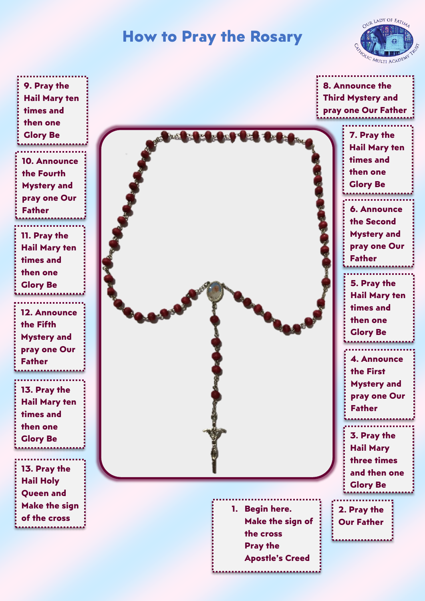## How to Pray the Rosary



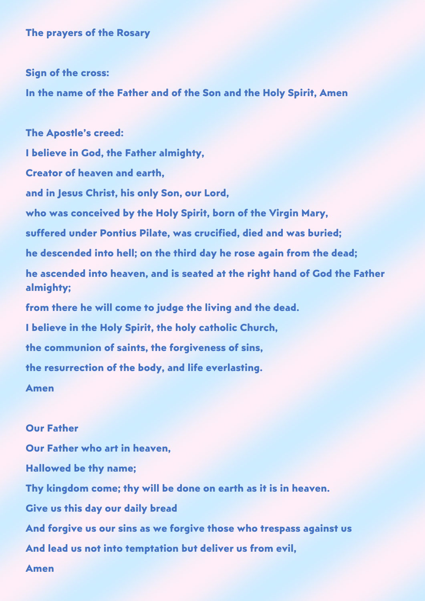The prayers of the Rosary

Sign of the cross:

In the name of the Father and of the Son and the Holy Spirit, Amen

The Apostle's creed: I believe in God, the Father almighty, Creator of heaven and earth, and in Jesus Christ, his only Son, our Lord, who was conceived by the Holy Spirit, born of the Virgin Mary, suffered under Pontius Pilate, was crucified, died and was buried; he descended into hell; on the third day he rose again from the dead; he ascended into heaven, and is seated at the right hand of God the Father almighty; from there he will come to judge the living and the dead. I believe in the Holy Spirit, the holy catholic Church, the communion of saints, the forgiveness of sins, the resurrection of the body, and life everlasting. Amen

# Our Father Our Father who art in heaven, Hallowed be thy name; Thy kingdom come; thy will be done on earth as it is in heaven. Give us this day our daily bread And forgive us our sins as we forgive those who trespass against us And lead us not into temptation but deliver us from evil, Amen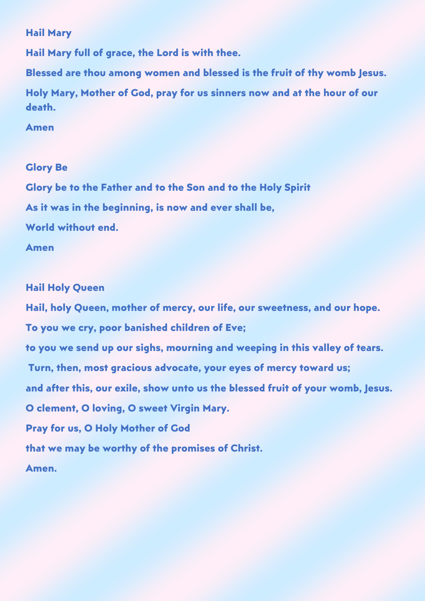### Hail Mary

Hail Mary full of grace, the Lord is with thee.

Blessed are thou among women and blessed is the fruit of thy womb Jesus.

Holy Mary, Mother of God, pray for us sinners now and at the hour of our death.

Amen

#### Glory Be

Glory be to the Father and to the Son and to the Holy Spirit As it was in the beginning, is now and ever shall be, World without end.

Amen

### Hail Holy Queen

Hail, holy Queen, mother of mercy, our life, our sweetness, and our hope. To you we cry, poor banished children of Eve; to you we send up our sighs, mourning and weeping in this valley of tears. Turn, then, most gracious advocate, your eyes of mercy toward us; and after this, our exile, show unto us the blessed fruit of your womb, Jesus. O clement, O loving, O sweet Virgin Mary. Pray for us, O Holy Mother of God that we may be worthy of the promises of Christ. Amen.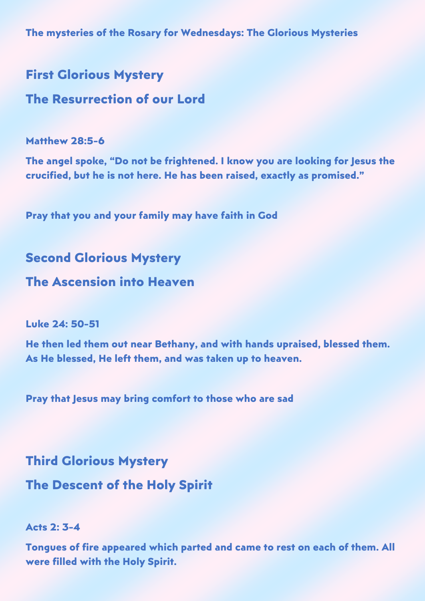The mysteries of the Rosary for Wednesdays: The Glorious Mysteries

# First Glorious Mystery The Resurrection of our Lord

Matthew 28:5-6

The angel spoke, "Do not be frightened. I know you are looking for Jesus the crucified, but he is not here. He has been raised, exactly as promised."

Pray that you and your family may have faith in God

### Second Glorious Mystery

### The Ascension into Heaven

### Luke 24: 50-51

He then led them out near Bethany, and with hands upraised, blessed them. As He blessed, He left them, and was taken up to heaven.

Pray that Jesus may bring comfort to those who are sad

### Third Glorious Mystery

The Descent of the Holy Spirit

### Acts 2: 3-4

Tongues of fire appeared which parted and came to rest on each of them. All were filled with the Holy Spirit.